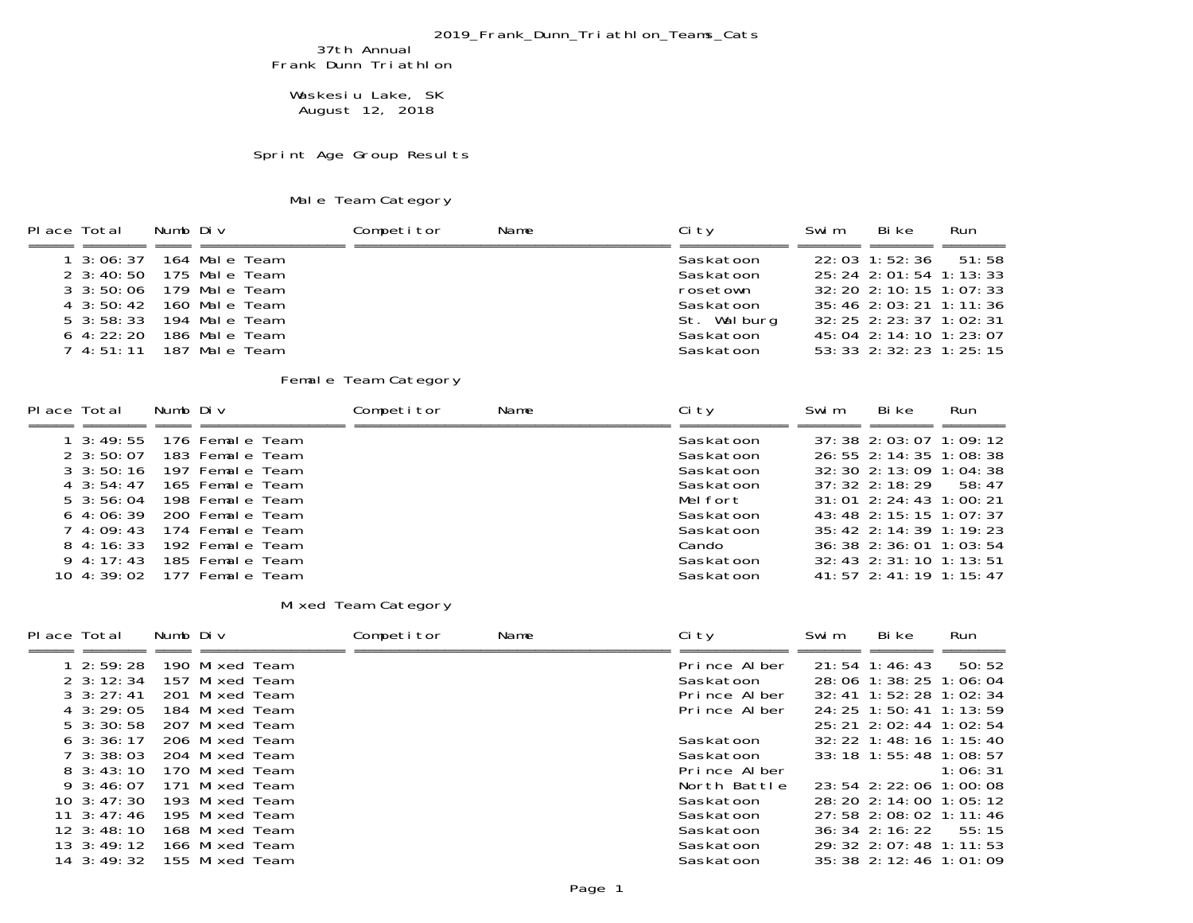## 2019\_Frank\_Dunn\_Triathlon\_Teams\_Cats

37th Annual Frank Dunn Triathlon

 Waskesiu Lake, SK August 12, 2018

Sprint Age Group Results

## Male Team Category

| Place Total                                                                                                                       | Numb Div |                                                                                                                     | Competitor           | Name | Ci ty                                                                                    | Swi m | Bi ke                                                                                                                                                                                   | Run              |
|-----------------------------------------------------------------------------------------------------------------------------------|----------|---------------------------------------------------------------------------------------------------------------------|----------------------|------|------------------------------------------------------------------------------------------|-------|-----------------------------------------------------------------------------------------------------------------------------------------------------------------------------------------|------------------|
| $1 \cdot 3:06:37$<br>$2 \cdot 3:40:50$<br>$3 \cdot 3:50:06$<br>$4 \cdot 3:50:42$<br>$5 \cdot 3:58:33$<br>$6\,4:22:20$<br>74:51:11 |          | 164 Male Team<br>175 Male Team<br>179 Male Team<br>160 Male Team<br>194 Male Team<br>186 Male Team<br>187 Male Team |                      |      | Saskatoon<br>Saskatoon<br>rosetown<br>Saskatoon<br>St. Walburg<br>Saskatoon<br>Saskatoon |       | 22:03 1:52:36<br>25: 24 2: 01: 54 1: 13: 33<br>32: 20 2: 10: 15<br>35: 46 2: 03: 21 1: 11: 36<br>32: 25 2: 23: 37 1: 02: 31<br>45: 04 2: 14: 10 1: 23: 07<br>53: 33 2: 32: 23 1: 25: 15 | 51:58<br>1:07:33 |
|                                                                                                                                   |          |                                                                                                                     | Female Team Category |      |                                                                                          |       |                                                                                                                                                                                         |                  |
| Place Total                                                                                                                       | Numb Div |                                                                                                                     | Competitor           | Name | Ci ty                                                                                    | Swi m | Bi ke                                                                                                                                                                                   | Run              |
|                                                                                                                                   |          |                                                                                                                     |                      |      |                                                                                          |       |                                                                                                                                                                                         |                  |

## Mixed Team Category

| Place Total |                               | Numb Div |                 | Competitor | Name | Ci ty        | Swi m | Bi ke                                    | Run     |
|-------------|-------------------------------|----------|-----------------|------------|------|--------------|-------|------------------------------------------|---------|
|             |                               |          |                 |            |      |              |       |                                          |         |
|             | $1\,2:59:28$                  |          | 190 Mixed Team  |            |      | Prince Alber |       | 21:54 1:46:43                            | 50:52   |
|             | $2 \cdot 3:12:34$             |          | 157 Mixed Team  |            |      | Saskatoon    |       | 28: 06 1: 38: 25 1: 06: 04               |         |
|             | $3 \cdot 3 \cdot 27 \cdot 41$ |          | 201 Mixed Team  |            |      | Prince Alber |       | $32: 41 \quad 1: 52: 28 \quad 1: 02: 34$ |         |
|             | $4 \cdot 3:29:05$             |          | 184 Mixed Team  |            |      | Prince Alber |       | 24: 25 1: 50: 41 1: 13: 59               |         |
|             | $5 \cdot 3:30:58$             |          | 207 Mixed Team  |            |      |              |       | 25: 21 2: 02: 44 1: 02: 54               |         |
|             | $6\,3:36:17$                  |          | 206 Mixed Team  |            |      | Saskatoon    |       | $32:22$ 1:48:16 1:15:40                  |         |
|             | $7\,3:38:03$                  |          | -204 Mixed Team |            |      | Saskatoon    |       | $33:18$ 1:55:48 1:08:57                  |         |
|             | $8\,3:43:10$                  |          | 170 Mixed Team  |            |      | Prince Alber |       |                                          | 1:06:31 |
|             | $9\,3:46:07$                  |          | 171 Mixed Team  |            |      | North Battle |       | 23: 54 2: 22: 06 1: 00: 08               |         |
|             | $10 \cdot 3:47:30$            |          | 193 Mixed Team  |            |      | Saskatoon    |       | 28: 20 2: 14: 00 1: 05: 12               |         |
|             | $11 \quad 3: 47: 46$          |          | 195 Mixed Team  |            |      | Saskatoon    |       | $27:58$ 2:08:02 1:11:46                  |         |
|             | $12 \cdot 3:48:10$            |          | 168 Mixed Team  |            |      | Saskatoon    |       | $36:34$ 2:16:22 55:15                    |         |
|             | $13 \cdot 3:49:12$            |          | 166 Mixed Team  |            |      | Saskatoon    |       | $29:32$ $2:07:48$ 1:11:53                |         |
|             | 14 3:49:32                    |          | 155 Mixed Team  |            |      | Saskatoon    |       | 35: 38 2: 12: 46 1: 01: 09               |         |